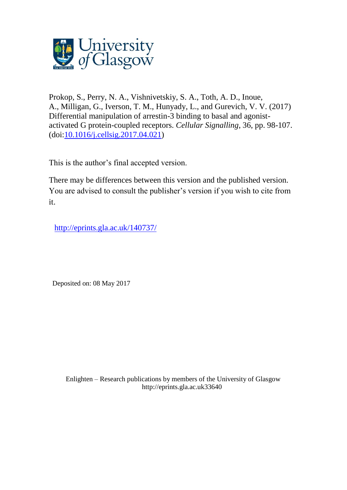

Prokop, S., Perry, N. A., Vishnivetskiy, S. A., Toth, A. D., Inoue, A., Milligan, G., Iverson, T. M., Hunyady, L., and Gurevich, V. V. (2017) Differential manipulation of arrestin-3 binding to basal and agonistactivated G protein-coupled receptors. *Cellular Signalling*, 36, pp. 98-107. (doi[:10.1016/j.cellsig.2017.04.021\)](http://dx.doi.org/10.1016/j.cellsig.2017.04.021)

This is the author's final accepted version.

There may be differences between this version and the published version. You are advised to consult the publisher's version if you wish to cite from it.

<http://eprints.gla.ac.uk/140737/>

Deposited on: 08 May 2017

Enlighten – Research publications by members of the University of Glasgo[w](http://eprints.gla.ac.uk/) [http://eprints.gla.ac.uk3](http://eprints.gla.ac.uk/)3640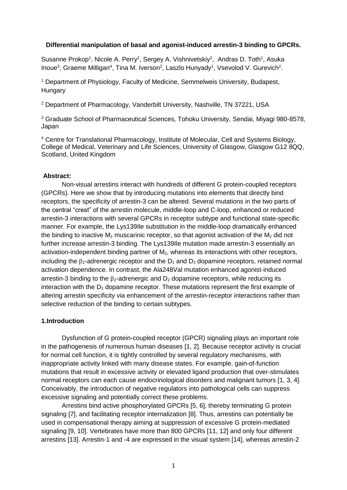#### **Differential manipulation of basal and agonist-induced arrestin-3 binding to GPCRs.**

Susanne Prokop<sup>1</sup>, Nicole A. Perry<sup>2</sup>, Sergey A. Vishnivetskiy<sup>2</sup>, Andras D. Toth<sup>1</sup>, Asuka Inoue<sup>3</sup>, Graeme Milligan<sup>4</sup>, Tina M. Iverson<sup>2</sup>, Laszlo Hunyady<sup>1</sup>, Vsevolod V. Gurevich<sup>2</sup>.

<sup>1</sup> Department of Physiology, Faculty of Medicine, Semmelweis University, Budapest, Hungary

<sup>2</sup> Department of Pharmacology, Vanderbilt University, Nashville, TN 37221, USA

<sup>3</sup> Graduate School of Pharmaceutical Sciences, Tohoku University, Sendai, Miyagi 980-8578, Japan

<sup>4</sup> Centre for Translational Pharmacology, Institute of Molecular, Cell and Systems Biology, College of Medical, Veterinary and Life Sciences, University of Glasgow, Glasgow G12 8QQ, Scotland, United Kingdom

#### **Abstract:**

Non-visual arrestins interact with hundreds of different G protein-coupled receptors (GPCRs). Here we show that by introducing mutations into elements that directly bind receptors, the specificity of arrestin-3 can be altered. Several mutations in the two parts of the central "crest" of the arrestin molecule, middle-loop and C-loop, enhanced or reduced arrestin-3 interactions with several GPCRs in receptor subtype and functional state-specific manner. For example, the Lys139Ile substitution in the middle-loop dramatically enhanced the binding to inactive  $M_2$  muscarinic receptor, so that agonist activation of the  $M_2$  did not further increase arrestin-3 binding. The Lys139Ile mutation made arrestin-3 essentially an activation-independent binding partner of  $M<sub>2</sub>$ , whereas its interactions with other receptors, including the  $\beta_2$ -adrenergic receptor and the  $D_1$  and  $D_2$  dopamine receptors, retained normal activation dependence. In contrast, the Ala248Val mutation enhanced agonist-induced arrestin-3 binding to the  $\beta_2$ -adrenergic and  $D_2$  dopamine receptors, while reducing its interaction with the  $D_1$  dopamine receptor. These mutations represent the first example of altering arrestin specificity via enhancement of the arrestin-receptor interactions rather than selective reduction of the binding to certain subtypes.

#### **1.Introduction**

Dysfunction of G protein-coupled receptor (GPCR) signaling plays an important role in the pathogenesis of numerous human diseases [\[1,](#page-11-0) [2\]](#page-11-1). Because receptor activity is crucial for normal cell function, it is tightly controlled by several regulatory mechanisms, with inappropriate activity linked with many disease states. For example, gain-of-function mutations that result in excessive activity or elevated ligand production that over-stimulates normal receptors can each cause endocrinological disorders and malignant tumors [\[1,](#page-11-0) [3,](#page-11-2) [4\]](#page-11-3). Conceivably, the introduction of negative regulators into pathological cells can suppress excessive signaling and potentially correct these problems.

Arrestins bind active phosphorylated GPCRs [\[5,](#page-11-4) [6\]](#page-11-5), thereby terminating G protein signaling [\[7\]](#page-11-6), and facilitating receptor internalization [\[8\]](#page-11-7). Thus, arrestins can potentially be used in compensational therapy aiming at suppression of excessive G protein-mediated signaling [\[9,](#page-11-8) [10\]](#page-11-9). Vertebrates have more than 800 GPCRs [\[11,](#page-11-10) [12\]](#page-11-11) and only four different arrestins [\[13\]](#page-11-12). Arrestin-1 and -4 are expressed in the visual system [\[14\]](#page-11-13), whereas arrestin-2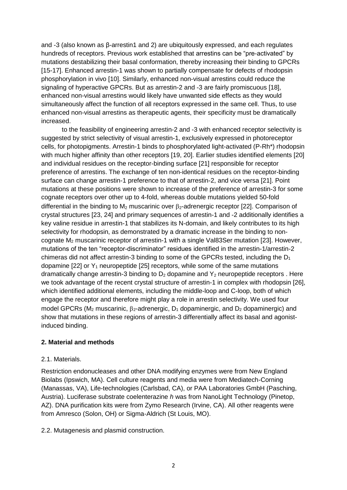and -3 (also known as β-arrestin1 and 2) are ubiquitously expressed, and each regulates hundreds of receptors. Previous work established that arrestins can be "pre-activated" by mutations destabilizing their basal conformation, thereby increasing their binding to GPCRs [\[15-17\]](#page-11-14). Enhanced arrestin-1 was shown to partially compensate for defects of rhodopsin phosphorylation in vivo [\[10\]](#page-11-9). Similarly, enhanced non-visual arrestins could reduce the signaling of hyperactive GPCRs. But as arrestin-2 and -3 are fairly promiscuous [\[18\]](#page-11-15), enhanced non-visual arrestins would likely have unwanted side effects as they would simultaneously affect the function of all receptors expressed in the same cell. Thus, to use enhanced non-visual arrestins as therapeutic agents, their specificity must be dramatically increased.

to the feasibility of engineering arrestin-2 and -3 with enhanced receptor selectivity is suggested by strict selectivity of visual arrestin-1, exclusively expressed in photoreceptor cells, for photopigments. Arrestin-1 binds to phosphorylated light-activated (P-Rh\*) rhodopsin with much higher affinity than other receptors [\[19,](#page-11-16) [20\]](#page-11-17). Earlier studies identified elements [\[20\]](#page-11-17) and individual residues on the receptor-binding surface [\[21\]](#page-11-18) responsible for receptor preference of arrestins. The exchange of ten non-identical residues on the receptor-binding surface can change arrestin-1 preference to that of arrestin-2, and vice versa [\[21\]](#page-11-18). Point mutations at these positions were shown to increase of the preference of arrestin-3 for some cognate receptors over other up to 4-fold, whereas double mutations yielded 50-fold differential in the binding to  $M_2$  muscarinic over  $\beta_2$ -adrenergic receptor [\[22\]](#page-11-19). Comparison of crystal structures [\[23,](#page-11-20) [24\]](#page-11-21) and primary sequences of arrestin-1 and -2 additionally identifies a key valine residue in arrestin-1 that stabilizes its N-domain, and likely contributes to its high selectivity for rhodopsin, as demonstrated by a dramatic increase in the binding to noncognate M<sup>2</sup> muscarinic receptor of arrestin-1 with a single Val83Ser mutation [\[23\]](#page-11-20). However, mutations of the ten "receptor-discriminator" residues identified in the arrestin-1/arrestin-2 chimeras did not affect arrestin-3 binding to some of the GPCRs tested, including the  $D_1$ dopamine  $[22]$  or  $Y_1$  neuropeptide  $[25]$  receptors, while some of the same mutations dramatically change arrestin-3 binding to  $D_2$  dopamine and  $Y_2$  neuropeptide receptors. Here we took advantage of the recent crystal structure of arrestin-1 in complex with rhodopsin [\[26\]](#page-12-1), which identified additional elements, including the middle-loop and C-loop, both of which engage the receptor and therefore might play a role in arrestin selectivity. We used four model GPCRs ( $M_2$  muscarinic,  $\beta_2$ -adrenergic,  $D_1$  dopaminergic, and  $D_2$  dopaminergic) and show that mutations in these regions of arrestin-3 differentially affect its basal and agonistinduced binding.

# **2. Material and methods**

## 2.1. Materials.

Restriction endonucleases and other DNA modifying enzymes were from New England Biolabs (Ipswich, MA). Cell culture reagents and media were from Mediatech-Corning (Manassas, VA), Life-technologies (Carlsbad, CA), or PAA Laboratories GmbH (Pasching, Austria). Luciferase substrate coelenterazine *h* was from NanoLight Technology (Pinetop, AZ). DNA purification kits were from Zymo Research (Irvine, CA). All other reagents were from Amresco (Solon, OH) or Sigma-Aldrich (St Louis, MO).

2.2. Mutagenesis and plasmid construction.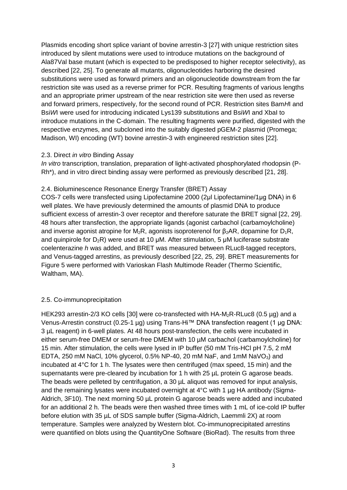Plasmids encoding short splice variant of bovine arrestin-3 [\[27\]](#page-12-2) with unique restriction sites introduced by silent mutations were used to introduce mutations on the background of Ala87Val base mutant (which is expected to be predisposed to higher receptor selectivity), as described [\[22,](#page-11-19) [25\]](#page-12-0). To generate all mutants, oligonucleotides harboring the desired substitutions were used as forward primers and an oligonucleotide downstream from the far restriction site was used as a reverse primer for PCR. Resulting fragments of various lengths and an appropriate primer upstream of the near restriction site were then used as reverse and forward primers, respectively, for the second round of PCR. Restriction sites Bam*H*I and Bsi*W*I were used for introducing indicated Lys139 substitutions and Bsi*W*I and XbaI to introduce mutations in the C-domain. The resulting fragments were purified, digested with the respective enzymes, and subcloned into the suitably digested pGEM-2 plasmid (Promega; Madison, WI) encoding (WT) bovine arrestin-3 with engineered restriction sites [\[22\]](#page-11-19).

## 2.3. Direct *in vitro* Binding Assay

*In vitro* transcription, translation, preparation of light-activated phosphorylated rhodopsin (P-Rh\*), and in vitro direct binding assay were performed as previously described [\[21,](#page-11-18) [28\]](#page-12-3).

# 2.4. Bioluminescence Resonance Energy Transfer (BRET) Assay

COS-7 cells were transfected using Lipofectamine 2000 (2μl Lipofectamine/1μg DNA) in 6 well plates. We have previously determined the amounts of plasmid DNA to produce sufficient excess of arrestin-3 over receptor and therefore saturate the BRET signal [\[22,](#page-11-19) [29\]](#page-12-4). 48 hours after transfection, the appropriate ligands (agonist carbachol (carbamoylcholine) and inverse agonist atropine for  $M_2R$ , agonists isoproterenol for  $\beta_2AR$ , dopamine for  $D_1R$ , and quinpirole for  $D_2R$ ) were used at 10  $\mu$ M. After stimulation, 5  $\mu$ M luciferase substrate coelenterazine *h* was added, and BRET was measured between RLuc8-tagged receptors, and Venus-tagged arrestins, as previously described [\[22,](#page-11-19) [25,](#page-12-0) [29\]](#page-12-4). BRET measurements for Figure 5 were performed with Varioskan Flash Multimode Reader (Thermo Scientific, Waltham, MA).

# 2.5. Co-immunoprecipitation

HEK293 arrestin-2/3 KO cells [\[30\]](#page-12-5) were co-transfected with  $HA-M_2R-RLuc8$  (0.5 µg) and a Venus-Arrestin construct (0.25-1 µg) using Trans-Hi™ DNA transfection reagent (1 µg DNA: 3 µL reagent) in 6-well plates. At 48 hours post-transfection, the cells were incubated in either serum-free DMEM or serum-free DMEM with 10 µM carbachol (carbamoylcholine) for 15 min. After stimulation, the cells were lysed in IP buffer (50 mM Tris-HCl pH 7.5, 2 mM EDTA, 250 mM NaCl, 10% glycerol, 0.5% NP-40, 20 mM NaF, and 1mM NaVO<sub>3</sub>) and incubated at 4°C for 1 h. The lysates were then centrifuged (max speed, 15 min) and the supernatants were pre-cleared by incubation for 1 h with 25  $\mu$ L protein G agarose beads. The beads were pelleted by centrifugation, a 30  $\mu$ L aliquot was removed for input analysis, and the remaining lysates were incubated overnight at 4°C with 1 µg HA antibody (Sigma-Aldrich, 3F10). The next morning 50 µL protein G agarose beads were added and incubated for an additional 2 h. The beads were then washed three times with 1 mL of ice-cold IP buffer before elution with 35 µL of SDS sample buffer (Sigma-Aldrich, Laemmli 2X) at room temperature. Samples were analyzed by Western blot. Co-immunoprecipitated arrestins were quantified on blots using the QuantityOne Software (BioRad). The results from three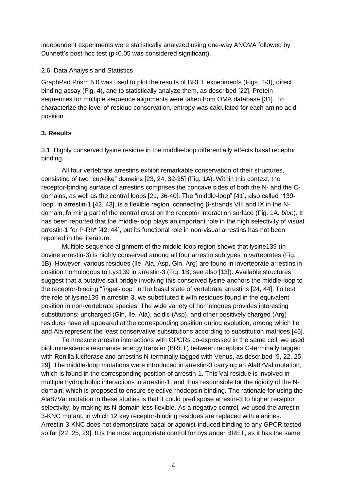independent experiments were statistically analyzed using one-way ANOVA followed by Dunnett's post-hoc test (p<0.05 was considered significant).

## 2.6. Data Analysis and Statistics

GraphPad Prism 5.0 was used to plot the results of BRET experiments (Figs. 2-3), direct binding assay (Fig. 4), and to statistically analyze them, as described [\[22\]](#page-11-19). Protein sequences for multiple sequence alignments were taken from OMA database [\[31\]](#page-12-6). To characterize the level of residue conservation, entropy was calculated for each amino acid position.

# **3. Results**

3.1. Highly conserved lysine residue in the middle-loop differentially effects basal receptor binding.

All four vertebrate arrestins exhibit remarkable conservation of their structures, consisting of two "cup-like" domains [\[23,](#page-11-20) [24,](#page-11-21) [32-35\]](#page-12-7) (Fig. 1A). Within this context, the receptor-binding surface of arrestins comprises the concave sides of both the N- and the Cdomains, as well as the central loops [\[21,](#page-11-18) [36-40\]](#page-12-8). The "middle-loop" [\[41\]](#page-12-9), also called "139 loop" in arrestin-1 [\[42,](#page-12-10) [43\]](#page-12-11), is a flexible region, connecting β-strands VIII and IX in the Ndomain, forming part of the central crest on the receptor interaction surface (Fig. 1A, *blue*). It has been reported that the middle-loop plays an important role in the high selectivity of visual arrestin-1 for P-Rh\* [\[42,](#page-12-10) [44\]](#page-12-12), but its functional role in non-visual arrestins has not been reported in the literature.

Multiple sequence alignment of the middle-loop region shows that lysine139 (in bovine arrestin-3) is highly conserved among all four arrestin subtypes in vertebrates (Fig. 1B). However, various residues (Ile, Ala, Asp, Gln, Arg) are found in invertebrate arrestins in position homologous to Lys139 in arrestin-3 (Fig. 1B; see also [\[13\]](#page-11-12)). Available structures suggest that a putative salt bridge involving this conserved lysine anchors the middle-loop to the receptor-binding "finger-loop" in the basal state of vertebrate arrestins [\[24,](#page-11-21) [44\]](#page-12-12). To test the role of lysine139 in arrestin-3, we substituted it with residues found in the equivalent position in non-vertebrate species. The wide variety of homologues provides interesting substitutions: uncharged (Gln, Ile, Ala), acidic (Asp), and other positively charged (Arg) residues have all appeared at the corresponding position during evolution, among which Ile and Ala represent the least conservative substitutions according to substitution matrices [\[45\]](#page-12-13).

To measure arrestin interactions with GPCRs co-expressed in the same cell, we used bioluminescence resonance energy transfer (BRET) between receptors C-terminally tagged with Renilla luciferase and arrestins N-terminally tagged with Venus, as described [\[9,](#page-11-8) [22,](#page-11-19) [25,](#page-12-0) [29\]](#page-12-4). The middle-loop mutations were introduced in arrestin-3 carrying an Ala87Val mutation, which is found in the corresponding position of arrestin-1. This Val residue is involved in multiple hydrophobic interactions in arrestin-1, and thus responsible for the rigidity of the Ndomain, which is proposed to ensure selective rhodopsin binding. The rationale for using the Ala87Val mutation in these studies is that it could predispose arrestin-3 to higher receptor selectivity, by making its N-domain less flexible. As a negative control, we used the arrestin-3-KNC mutant, in which 12 key receptor-binding residues are replaced with alanines. Arrestin-3-KNC does not demonstrate basal or agonist-induced binding to any GPCR tested so far [\[22,](#page-11-19) [25,](#page-12-0) [29\]](#page-12-4). It is the most appropriate control for bystander BRET, as it has the same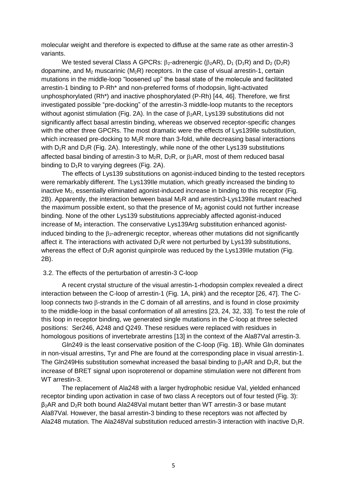molecular weight and therefore is expected to diffuse at the same rate as other arrestin-3 variants.

We tested several Class A GPCRs:  $\beta_2$ -adrenergic ( $\beta_2$ AR), D<sub>1</sub> (D<sub>1</sub>R) and D<sub>2</sub> (D<sub>2</sub>R) dopamine, and  $M_2$  muscarinic ( $M_2R$ ) receptors. In the case of visual arrestin-1, certain mutations in the middle-loop "loosened up" the basal state of the molecule and facilitated arrestin-1 binding to P-Rh\* and non-preferred forms of rhodopsin, light-activated unphosphorylated (Rh\*) and inactive phosphorylated (P-Rh) [\[44,](#page-12-12) [46\]](#page-12-14). Therefore, we first investigated possible "pre-docking" of the arrestin-3 middle-loop mutants to the receptors without agonist stimulation (Fig. 2A). In the case of  $\beta_2AR$ , Lys139 substitutions did not significantly affect basal arrestin binding, whereas we observed receptor-specific changes with the other three GPCRs. The most dramatic were the effects of Lys139Ile substitution, which increased pre-docking to  $M_2R$  more than 3-fold, while decreasing basal interactions with  $D_1R$  and  $D_2R$  (Fig. 2A). Interestingly, while none of the other Lys139 substitutions affected basal binding of arrestin-3 to  $M_2R$ ,  $D_2R$ , or  $\beta_2AR$ , most of them reduced basal binding to  $D_1R$  to varying degrees (Fig. 2A).

The effects of Lys139 substitutions on agonist-induced binding to the tested receptors were remarkably different. The Lys139Ile mutation, which greatly increased the binding to inactive M2, essentially eliminated agonist-induced increase in binding to this receptor (Fig. 2B). Apparently, the interaction between basal  $M_2R$  and arrestin3-Lys139lle mutant reached the maximum possible extent, so that the presence of  $M<sub>2</sub>$  agonist could not further increase binding. None of the other Lys139 substitutions appreciably affected agonist-induced increase of M<sub>2</sub> interaction. The conservative Lys139Arg substitution enhanced agonistinduced binding to the  $\beta_2$ -adrenergic receptor, whereas other mutations did not significantly affect it. The interactions with activated  $D_1R$  were not perturbed by Lys139 substitutions, whereas the effect of  $D_2R$  agonist quinpirole was reduced by the Lys139IIe mutation (Fig. 2B).

#### 3.2. The effects of the perturbation of arrestin-3 C-loop

A recent crystal structure of the visual arrestin-1-rhodopsin complex revealed a direct interaction between the C-loop of arrestin-1 (Fig. 1A, pink) and the receptor [\[26,](#page-12-1) [47\]](#page-12-15). The Cloop connects two  $\beta$ -strands in the C domain of all arrestins, and is found in close proximity to the middle-loop in the basal conformation of all arrestins [\[23,](#page-11-20) [24,](#page-11-21) [32,](#page-12-7) [33\]](#page-12-16). To test the role of this loop in receptor binding, we generated single mutations in the C-loop at three selected positions: Ser246, A248 and Q249. These residues were replaced with residues in homologous positions of invertebrate arrestins [\[13\]](#page-11-12) in the context of the Ala87Val arrestin-3.

Gln249 is the least conservative position of the C-loop (Fig. 1B). While Gln dominates in non-visual arrestins, Tyr and Phe are found at the corresponding place in visual arrestin-1. The Gln249His substitution somewhat increased the basal binding to  $B_2AR$  and  $D_1R$ , but the increase of BRET signal upon isoproterenol or dopamine stimulation were not different from WT arrestin-3.

The replacement of Ala248 with a larger hydrophobic residue Val, yielded enhanced receptor binding upon activation in case of two class A receptors out of four tested (Fig. 3):  $\beta_2$ AR and  $D_2$ R both bound Ala248Val mutant better than WT arrestin-3 or base mutant Ala87Val. However, the basal arrestin-3 binding to these receptors was not affected by Ala248 mutation. The Ala248Val substitution reduced arrestin-3 interaction with inactive  $D_1R$ .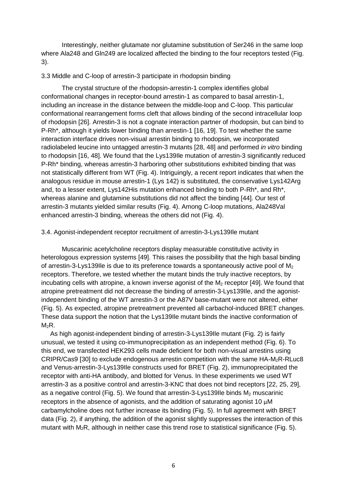Interestingly, neither glutamate nor glutamine substitution of Ser246 in the same loop where Ala248 and Gln249 are localized affected the binding to the four receptors tested (Fig. 3).

#### 3.3 Middle and C-loop of arrestin-3 participate in rhodopsin binding

The crystal structure of the rhodopsin-arrestin-1 complex identifies global conformational changes in receptor-bound arrestin-1 as compared to basal arrestin-1, including an increase in the distance between the middle-loop and C-loop. This particular conformational rearrangement forms cleft that allows binding of the second intracellular loop of rhodopsin [\[26\]](#page-12-1). Arrestin-3 is not a cognate interaction partner of rhodopsin, but can bind to P-Rh\*, although it yields lower binding than arrestin-1 [\[16,](#page-11-22) [19\]](#page-11-16). To test whether the same interaction interface drives non-visual arrestin binding to rhodopsin, we incorporated radiolabeled leucine into untagged arrestin-3 mutants [\[28,](#page-12-3) [48\]](#page-12-17) and performed *in vitro* binding to rhodopsin [\[16,](#page-11-22) [48\]](#page-12-17). We found that the Lys139Ile mutation of arrestin-3 significantly reduced P-Rh\* binding, whereas arrestin-3 harboring other substitutions exhibited binding that was not statistically different from WT (Fig. 4). Intriguingly, a recent report indicates that when the analogous residue in mouse arrestin-1 (Lys 142) is substituted, the conservative Lys142Arg and, to a lesser extent, Lys142His mutation enhanced binding to both P-Rh\*, and Rh\*, whereas alanine and glutamine substitutions did not affect the binding [\[44\]](#page-12-12). Our test of arrestin-3 mutants yielded similar results (Fig. 4). Among C-loop mutations, Ala248Val enhanced arrestin-3 binding, whereas the others did not (Fig. 4).

#### 3.4. Agonist-independent receptor recruitment of arrestin-3-Lys139Ile mutant

Muscarinic acetylcholine receptors display measurable constitutive activity in heterologous expression systems [\[49\]](#page-12-18). This raises the possibility that the high basal binding of arrestin-3-Lys139Ile is due to its preference towards a spontaneously active pool of  $M<sub>2</sub>$ receptors. Therefore, we tested whether the mutant binds the truly inactive receptors, by incubating cells with atropine, a known inverse agonist of the  $M<sub>2</sub>$  receptor [\[49\]](#page-12-18). We found that atropine pretreatment did not decrease the binding of arrestin-3-Lys139Ile, and the agonistindependent binding of the WT arrestin-3 or the A87V base-mutant were not altered, either (Fig. 5). As expected, atropine pretreatment prevented all carbachol-induced BRET changes. These data support the notion that the Lys139Ile mutant binds the inactive conformation of  $M_2R$ .

 As high agonist-independent binding of arrestin-3-Lys139Ile mutant (Fig. 2) is fairly unusual, we tested it using co-immunoprecipitation as an independent method (Fig. 6). To this end, we transfected HEK293 cells made deficient for both non-visual arrestins using CRIPR/Cas9 [\[30\]](#page-12-5) to exclude endogenous arrestin competition with the same  $HA-M<sub>2</sub>R-RLuc8$ and Venus-arrestin-3-Lys139Ile constructs used for BRET (Fig. 2), immunoprecipitated the receptor with anti-HA antibody, and blotted for Venus. In these experiments we used WT arrestin-3 as a positive control and arrestin-3-KNC that does not bind receptors [\[22,](#page-11-19) [25,](#page-12-0) [29\]](#page-12-4), as a negative control (Fig. 5). We found that arrestin-3-Lys139lle binds  $M_2$  muscarinic receptors in the absence of agonists, and the addition of saturating agonist 10  $\mu$ M carbamylcholine does not further increase its binding (Fig. 5). In full agreement with BRET data (Fig. 2), if anything, the addition of the agonist slightly suppresses the interaction of this mutant with  $M_2R$ , although in neither case this trend rose to statistical significance (Fig. 5).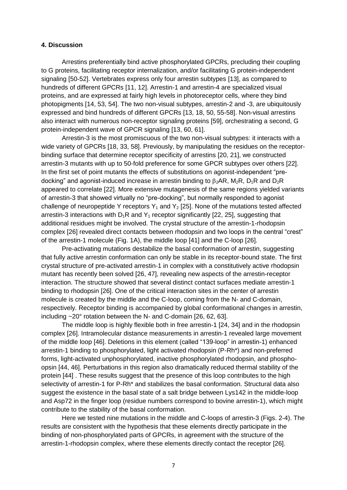#### **4. Discussion**

Arrestins preferentially bind active phosphorylated GPCRs, precluding their coupling to G proteins, facilitating receptor internalization, and/or facilitating G protein-independent signaling [\[50-52\]](#page-12-19). Vertebrates express only four arrestin subtypes [\[13\]](#page-11-12), as compared to hundreds of different GPCRs [\[11,](#page-11-10) [12\]](#page-11-11). Arrestin-1 and arrestin-4 are specialized visual proteins, and are expressed at fairly high levels in photoreceptor cells, where they bind photopigments [\[14,](#page-11-13) [53,](#page-12-20) [54\]](#page-13-0). The two non-visual subtypes, arrestin-2 and -3, are ubiquitously expressed and bind hundreds of different GPCRs [\[13,](#page-11-12) [18,](#page-11-15) [50,](#page-12-19) [55-58\]](#page-13-1). Non-visual arrestins also interact with numerous non-receptor signaling proteins [\[59\]](#page-13-2), orchestrating a second, G protein-independent wave of GPCR signaling [\[13,](#page-11-12) [60,](#page-13-3) [61\]](#page-13-4).

Arrestin-3 is the most promiscuous of the two non-visual subtypes: it interacts with a wide variety of GPCRs [\[18,](#page-11-15) [33,](#page-12-16) [58\]](#page-13-5). Previously, by manipulating the residues on the receptorbinding surface that determine receptor specificity of arrestins [\[20,](#page-11-17) [21\]](#page-11-18), we constructed arrestin-3 mutants with up to 50-fold preference for some GPCR subtypes over others [\[22\]](#page-11-19). In the first set of point mutants the effects of substitutions on agonist-independent "predocking" and agonist-induced increase in arrestin binding to  $\beta_2AR$ ,  $M_2R$ ,  $D_1R$  and  $D_2R$ appeared to correlate [\[22\]](#page-11-19). More extensive mutagenesis of the same regions yielded variants of arrestin-3 that showed virtually no "pre-docking", but normally responded to agonist challenge of neuropeptide Y receptors  $Y_1$  and  $Y_2$  [\[25\]](#page-12-0). None of the mutations tested affected arrestin-3 interactions with  $D_1R$  and  $Y_1$  receptor significantly [\[22,](#page-11-19) [25\]](#page-12-0), suggesting that additional residues might be involved. The crystal structure of the arrestin-1-rhodopsin complex [\[26\]](#page-12-1) revealed direct contacts between rhodopsin and two loops in the central "crest" of the arrestin-1 molecule (Fig. 1A), the middle loop [\[41\]](#page-12-9) and the C-loop [\[26\]](#page-12-1).

Pre-activating mutations destabilize the basal conformation of arrestin, suggesting that fully active arrestin conformation can only be stable in its receptor-bound state. The first crystal structure of pre-activated arrestin-1 in complex with a constitutively active rhodopsin mutant has recently been solved [\[26,](#page-12-1) [47\]](#page-12-15), revealing new aspects of the arrestin-receptor interaction. The structure showed that several distinct contact surfaces mediate arrestin-1 binding to rhodopsin [\[26\]](#page-12-1). One of the critical interaction sites in the center of arrestin molecule is created by the middle and the C-loop, coming from the N- and C-domain, respectively. Receptor binding is accompanied by global conformational changes in arrestin, including ~20° rotation between the N- and C-domain [\[26,](#page-12-1) [62,](#page-13-6) [63\]](#page-13-7).

The middle loop is highly flexible both in free arrestin-1 [\[24,](#page-11-21) [34\]](#page-12-21) and in the rhodopsin complex [\[26\]](#page-12-1). Intramolecular distance measurements in arrestin-1 revealed large movement of the middle loop [\[46\]](#page-12-14). Deletions in this element (called "139-loop" in arrestin-1) enhanced arrestin-1 binding to phosphorylated, light activated rhodopsin (P-Rh\*) and non-preferred forms, light-activated unphosphorylated, inactive phosphorylated rhodopsin, and phosphoopsin [\[44,](#page-12-12) [46\]](#page-12-14). Perturbations in this region also dramatically reduced thermal stability of the protein [\[44\]](#page-12-12) . These results suggest that the presence of this loop contributes to the high selectivity of arrestin-1 for P-Rh\* and stabilizes the basal conformation. Structural data also suggest the existence in the basal state of a salt bridge between Lys142 in the middle-loop and Asp72 in the finger loop (residue numbers correspond to bovine arrestin-1), which might contribute to the stability of the basal conformation.

Here we tested nine mutations in the middle and C-loops of arrestin-3 (Figs. 2-4). The results are consistent with the hypothesis that these elements directly participate in the binding of non-phosphorylated parts of GPCRs, in agreement with the structure of the arrestin-1-rhodopsin complex, where these elements directly contact the receptor [\[26\]](#page-12-1).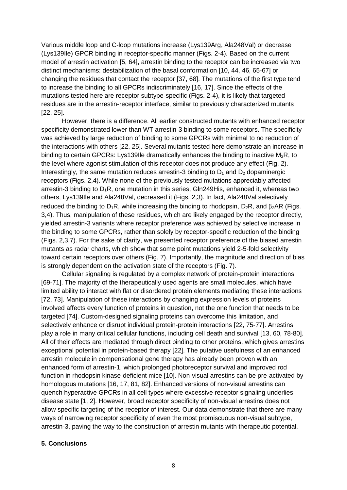Various middle loop and C-loop mutations increase (Lys139Arg, Ala248Val) or decrease (Lys139Ile) GPCR binding in receptor-specific manner (Figs. 2-4). Based on the current model of arrestin activation [\[5,](#page-11-4) [64\]](#page-13-8), arrestin binding to the receptor can be increased via two distinct mechanisms: destabilization of the basal conformation [\[10,](#page-11-9) [44,](#page-12-12) [46,](#page-12-14) [65-67\]](#page-13-9) or changing the residues that contact the receptor [\[37,](#page-12-22) [68\]](#page-13-10). The mutations of the first type tend to increase the binding to all GPCRs indiscriminately [\[16,](#page-11-22) [17\]](#page-11-23). Since the effects of the mutations tested here are receptor subtype-specific (Figs. 2-4), it is likely that targeted residues are in the arrestin-receptor interface, similar to previously characterized mutants [\[22,](#page-11-19) [25\]](#page-12-0).

However, there is a difference. All earlier constructed mutants with enhanced receptor specificity demonstrated lower than WT arrestin-3 binding to some receptors. The specificity was achieved by large reduction of binding to some GPCRs with minimal to no reduction of the interactions with others [\[22,](#page-11-19) [25\]](#page-12-0). Several mutants tested here demonstrate an increase in binding to certain GPCRs: Lys139lle dramatically enhances the binding to inactive  $M_2R$ , to the level where agonist stimulation of this receptor does not produce any effect (Fig. 2). Interestingly, the same mutation reduces arrestin-3 binding to  $D_1$  and  $D_2$  dopaminergic receptors (Figs. 2,4). While none of the previously tested mutations appreciably affected arrestin-3 binding to  $D_1R$ , one mutation in this series, Gln249His, enhanced it, whereas two others, Lys139Ile and Ala248Val, decreased it (Figs. 2,3). In fact, Ala248Val selectively reduced the binding to  $D_1R$ , while increasing the binding to rhodopsin,  $D_2R$ , and  $\beta_2AR$  (Figs. 3,4). Thus, manipulation of these residues, which are likely engaged by the receptor directly, yielded arrestin-3 variants where receptor preference was achieved by selective increase in the binding to some GPCRs, rather than solely by receptor-specific reduction of the binding (Figs. 2,3,7). For the sake of clarity, we presented receptor preference of the biased arrestin mutants as radar charts, which show that some point mutations yield 2-5-fold selectivity toward certain receptors over others (Fig. 7). Importantly, the magnitude and direction of bias is strongly dependent on the activation state of the receptors (Fig. 7).

Cellular signaling is regulated by a complex network of protein-protein interactions [\[69-71\]](#page-13-11). The majority of the therapeutically used agents are small molecules, which have limited ability to interact with flat or disordered protein elements mediating these interactions [\[72,](#page-13-12) [73\]](#page-13-13). Manipulation of these interactions by changing expression levels of proteins involved affects every function of proteins in question, not the one function that needs to be targeted [\[74\]](#page-13-14). Custom-designed signaling proteins can overcome this limitation, and selectively enhance or disrupt individual protein-protein interactions [\[22,](#page-11-19) [75-77\]](#page-13-15). Arrestins play a role in many critical cellular functions, including cell death and survival [\[13,](#page-11-12) [60,](#page-13-3) [78-80\]](#page-13-16). All of their effects are mediated through direct binding to other proteins, which gives arrestins exceptional potential in protein-based therapy [\[22\]](#page-11-19). The putative usefulness of an enhanced arrestin molecule in compensational gene therapy has already been proven with an enhanced form of arrestin-1, which prolonged photoreceptor survival and improved rod function in rhodopsin kinase-deficient mice [\[10\]](#page-11-9). Non-visual arrestins can be pre-activated by homologous mutations [\[16,](#page-11-22) [17,](#page-11-23) [81,](#page-13-17) [82\]](#page-13-18). Enhanced versions of non-visual arrestins can quench hyperactive GPCRs in all cell types where excessive receptor signaling underlies disease state [\[1,](#page-11-0) [2\]](#page-11-1). However, broad receptor specificity of non-visual arrestins does not allow specific targeting of the receptor of interest. Our data demonstrate that there are many ways of narrowing receptor specificity of even the most promiscuous non-visual subtype, arrestin-3, paving the way to the construction of arrestin mutants with therapeutic potential.

## **5. Conclusions**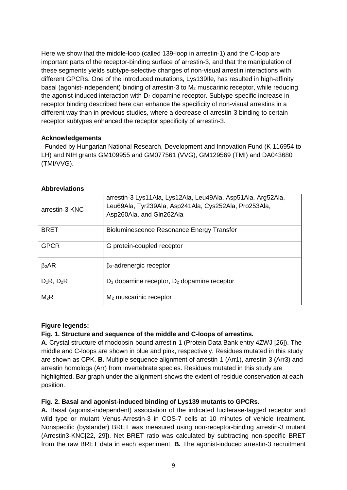Here we show that the middle-loop (called 139-loop in arrestin-1) and the C-loop are important parts of the receptor-binding surface of arrestin-3, and that the manipulation of these segments yields subtype-selective changes of non-visual arrestin interactions with different GPCRs. One of the introduced mutations, Lys139Ile, has resulted in high-affinity basal (agonist-independent) binding of arrestin-3 to  $M<sub>2</sub>$  muscarinic receptor, while reducing the agonist-induced interaction with  $D<sub>2</sub>$  dopamine receptor. Subtype-specific increase in receptor binding described here can enhance the specificity of non-visual arrestins in a different way than in previous studies, where a decrease of arrestin-3 binding to certain receptor subtypes enhanced the receptor specificity of arrestin-3.

## **Acknowledgements**

 Funded by Hungarian National Research, Development and Innovation Fund (K 116954 to LH) and NIH grants GM109955 and GM077561 (VVG), GM129569 (TMI) and DA043680 (TMI/VVG).

## **Abbreviations**

| arrestin-3 KNC  | arrestin-3 Lys11Ala, Lys12Ala, Leu49Ala, Asp51Ala, Arg52Ala,<br>Leu69Ala, Tyr239Ala, Asp241Ala, Cys252Ala, Pro253Ala,<br>Asp260Ala, and Gln262Ala |
|-----------------|---------------------------------------------------------------------------------------------------------------------------------------------------|
| <b>BRET</b>     | Bioluminescence Resonance Energy Transfer                                                                                                         |
| <b>GPCR</b>     | G protein-coupled receptor                                                                                                                        |
| $\beta_2AR$     | $\beta$ <sub>2</sub> -adrenergic receptor                                                                                                         |
| $D_1R$ , $D_2R$ | $D_1$ dopamine receptor, $D_2$ dopamine receptor                                                                                                  |
| $M_2R$          | $M2$ muscarinic receptor                                                                                                                          |

# **Figure legends:**

# **Fig. 1. Structure and sequence of the middle and C-loops of arrestins.**

**A**. Crystal structure of rhodopsin-bound arrestin-1 (Protein Data Bank entry 4ZWJ [\[26\]](#page-12-1)). The middle and C-loops are shown in blue and pink, respectively. Residues mutated in this study are shown as CPK. **B.** Multiple sequence alignment of arrestin-1 (Arr1), arrestin-3 (Arr3) and arrestin homologs (Arr) from invertebrate species. Residues mutated in this study are highlighted. Bar graph under the alignment shows the extent of residue conservation at each position.

# **Fig. 2. Basal and agonist-induced binding of Lys139 mutants to GPCRs.**

**A.** Basal (agonist-independent) association of the indicated luciferase-tagged receptor and wild type or mutant Venus-Arrestin-3 in COS-7 cells at 10 minutes of vehicle treatment. Nonspecific (bystander) BRET was measured using non-receptor-binding arrestin-3 mutant (Arrestin3-KNC[\[22,](#page-11-19) [29\]](#page-12-4)). Net BRET ratio was calculated by subtracting non-specific BRET from the raw BRET data in each experiment. **B.** The agonist-induced arrestin-3 recruitment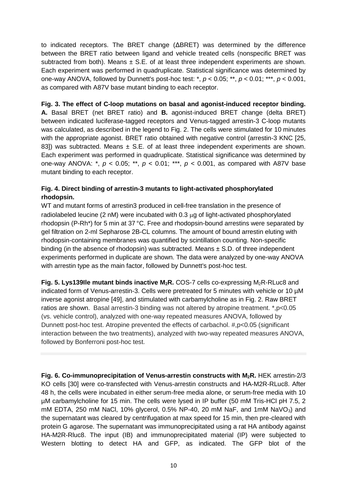to indicated receptors. The BRET change (ΔBRET) was determined by the difference between the BRET ratio between ligand and vehicle treated cells (nonspecific BRET was subtracted from both). Means  $\pm$  S.E. of at least three independent experiments are shown. Each experiment was performed in quadruplicate. Statistical significance was determined by one-way ANOVA, followed by Dunnett's post-hoc test: \*, *p* < 0.05; \*\*, *p* < 0.01; \*\*\*, *p* < 0.001, as compared with A87V base mutant binding to each receptor.

# **Fig. 3. The effect of C-loop mutations on basal and agonist-induced receptor binding.**

**A.** Basal BRET (net BRET ratio) and **B.** agonist-induced BRET change (delta BRET) between indicated luciferase-tagged receptors and Venus-tagged arrestin-3 C-loop mutants was calculated, as described in the legend to Fig. 2. The cells were stimulated for 10 minutes with the appropriate agonist. BRET ratio obtained with negative control (arrestin-3 KNC [\[25,](#page-12-0) [83\]](#page-13-19)) was subtracted. Means  $\pm$  S.E. of at least three independent experiments are shown. Each experiment was performed in quadruplicate. Statistical significance was determined by one-way ANOVA: \*, *p* < 0.05; \*\*, *p* < 0.01; \*\*\*, *p* < 0.001, as compared with A87V base mutant binding to each receptor.

# **Fig. 4. Direct binding of arrestin-3 mutants to light-activated phosphorylated rhodopsin.**

WT and mutant forms of arrestin3 produced in cell-free translation in the presence of radiolabeled leucine (2 nM) were incubated with 0.3 ug of light-activated phosphorylated rhodopsin (P-Rh\*) for 5 min at 37 °C. Free and rhodopsin-bound arrestins were separated by gel filtration on 2-ml Sepharose 2B-CL columns. The amount of bound arrestin eluting with rhodopsin-containing membranes was quantified by scintillation counting. Non-specific binding (in the absence of rhodopsin) was subtracted. Means  $\pm$  S.D. of three independent experiments performed in duplicate are shown. The data were analyzed by one-way ANOVA with arrestin type as the main factor, followed by Dunnett's post-hoc test.

**Fig. 5. Lys139lle mutant binds inactive M<sub>2</sub>R.** COS-7 cells co-expressing M<sub>2</sub>R-RLuc8 and indicated form of Venus-arrestin-3. Cells were pretreated for 5 minutes with vehicle or 10 µM inverse agonist atropine [\[49\]](#page-12-18), and stimulated with carbamylcholine as in Fig. 2. Raw BRET ratios are shown. Basal arrestin-3 binding was not altered by atropine treatment. \*,p<0.05 (vs. vehicle control), analyzed with one-way repeated measures ANOVA, followed by Dunnett post-hoc test. Atropine prevented the effects of carbachol. #,p<0.05 (significant interaction between the two treatments), analyzed with two-way repeated measures ANOVA, followed by Bonferroni post-hoc test.

**Fig. 6. Co-immunoprecipitation of Venus-arrestin constructs with M2R.** HEK arrestin-2/3 KO cells [\[30\]](#page-12-5) were co-transfected with Venus-arrestin constructs and HA-M2R-RLuc8. After 48 h, the cells were incubated in either serum-free media alone, or serum-free media with 10 µM carbamylcholine for 15 min. The cells were lysed in IP buffer (50 mM Tris-HCl pH 7.5, 2 mM EDTA, 250 mM NaCl, 10% glycerol, 0.5% NP-40, 20 mM NaF, and 1mM Na $VO<sub>3</sub>$ ) and the supernatant was cleared by centrifugation at max speed for 15 min, then pre-cleared with protein G agarose. The supernatant was immunoprecipitated using a rat HA antibody against HA-M2R-Rluc8. The input (IB) and immunoprecipitated material (IP) were subjected to Western blotting to detect HA and GFP, as indicated. The GFP blot of the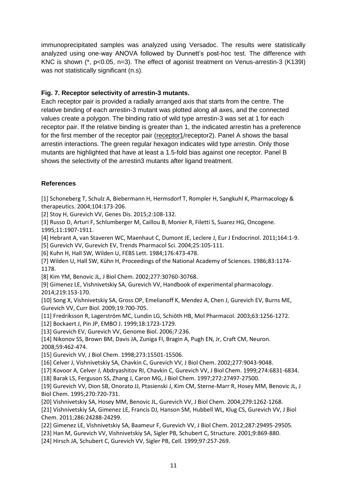immunoprecipitated samples was analyzed using Versadoc. The results were statistically analyzed using one-way ANOVA followed by Dunnett's post-hoc test. The difference with KNC is shown (\*, p<0.05, n=3). The effect of agonist treatment on Venus-arrestin-3 (K139I) was not statistically significant (n.s).

# **Fig. 7. Receptor selectivity of arrestin-3 mutants.**

Each receptor pair is provided a radially arranged axis that starts from the centre. The relative binding of each arrestin-3 mutant was plotted along all axes, and the connected values create a polygon. The binding ratio of wild type arrestin-3 was set at 1 for each receptor pair. If the relative binding is greater than 1, the indicated arrestin has a preference for the first member of the receptor pair (receptor1/receptor2). Panel A shows the basal arrestin interactions. The green regular hexagon indicates wild type arrestin. Only those mutants are highlighted that have at least a 1.5-fold bias against one receptor. Panel B shows the selectivity of the arrestin3 mutants after ligand treatment.

# **References**

<span id="page-11-0"></span>[1] Schoneberg T, Schulz A, Biebermann H, Hermsdorf T, Rompler H, Sangkuhl K, Pharmacology & therapeutics. 2004;104:173-206.

<span id="page-11-1"></span>[2] Stoy H, Gurevich VV, Genes Dis. 2015;2:108-132.

<span id="page-11-2"></span>[3] Russo D, Arturi F, Schlumberger M, Caillou B, Monier R, Filetti S, Suarez HG, Oncogene. 1995;11:1907-1911.

<span id="page-11-3"></span>[4] Hebrant A, van Staveren WC, Maenhaut C, Dumont JE, Leclere J, Eur J Endocrinol. 2011;164:1-9.

<span id="page-11-4"></span>[5] Gurevich VV, Gurevich EV, Trends Pharmacol Sci. 2004;25:105-111.

<span id="page-11-5"></span>[6] Kuhn H, Hall SW, Wilden U, FEBS Lett. 1984;176:473-478.

<span id="page-11-6"></span>[7] Wilden U, Hall SW, Kühn H, Proceedings of the National Academy of Sciences. 1986;83:1174- 1178.

<span id="page-11-7"></span>[8] Kim YM, Benovic JL, J Biol Chem. 2002;277:30760-30768.

<span id="page-11-8"></span>[9] Gimenez LE, Vishnivetskiy SA, Gurevich VV, Handbook of experimental pharmacology. 2014;219:153-170.

<span id="page-11-9"></span>[10] Song X, Vishnivetskiy SA, Gross OP, Emelianoff K, Mendez A, Chen J, Gurevich EV, Burns ME, Gurevich VV, Curr Biol. 2009;19:700-705.

<span id="page-11-10"></span>[11] Fredriksson R, Lagerström MC, Lundin LG, Schiöth HB, Mol Pharmacol. 2003;63:1256-1272.

<span id="page-11-11"></span>[12] Bockaert J, Pin JP, EMBO J. 1999;18:1723-1729.

<span id="page-11-12"></span>[13] Gurevich EV, Gurevich VV, Genome Biol. 2006;7:236.

<span id="page-11-13"></span>[14] Nikonov SS, Brown BM, Davis JA, Zuniga FI, Bragin A, Pugh EN, Jr, Craft CM, Neuron. 2008;59:462-474.

<span id="page-11-14"></span>[15] Gurevich VV, J Biol Chem. 1998;273:15501-15506.

<span id="page-11-22"></span>[16] Celver J, Vishnivetskiy SA, Chavkin C, Gurevich VV, J Biol Chem. 2002;277:9043-9048.

<span id="page-11-23"></span>[17] Kovoor A, Celver J, Abdryashitov RI, Chavkin C, Gurevich VV, J Biol Chem. 1999;274:6831-6834.

<span id="page-11-15"></span>[18] Barak LS, Ferguson SS, Zhang J, Caron MG, J Biol Chem. 1997;272:27497-27500.

<span id="page-11-16"></span>[19] Gurevich VV, Dion SB, Onorato JJ, Ptasienski J, Kim CM, Sterne-Marr R, Hosey MM, Benovic JL, J Biol Chem. 1995;270:720-731.

<span id="page-11-17"></span>[20] Vishnivetskiy SA, Hosey MM, Benovic JL, Gurevich VV, J Biol Chem. 2004;279:1262-1268.

<span id="page-11-18"></span>[21] Vishnivetskiy SA, Gimenez LE, Francis DJ, Hanson SM, Hubbell WL, Klug CS, Gurevich VV, J Biol Chem. 2011;286:24288-24299.

<span id="page-11-19"></span>[22] Gimenez LE, Vishnivetskiy SA, Baameur F, Gurevich VV, J Biol Chem. 2012;287:29495-29505.

<span id="page-11-20"></span>[23] Han M, Gurevich VV, Vishnivetskiy SA, Sigler PB, Schubert C, Structure. 2001;9:869-880.

<span id="page-11-21"></span>[24] Hirsch JA, Schubert C, Gurevich VV, Sigler PB, Cell. 1999;97:257-269.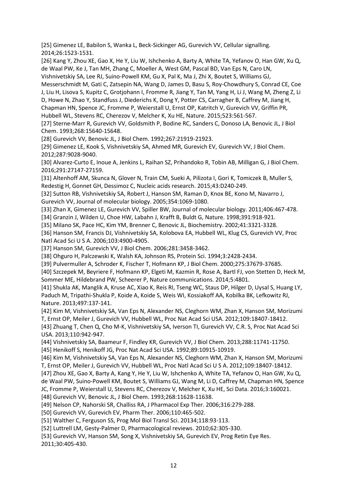<span id="page-12-0"></span>[25] Gimenez LE, Babilon S, Wanka L, Beck-Sickinger AG, Gurevich VV, Cellular signalling. 2014;26:1523-1531.

<span id="page-12-1"></span>[26] Kang Y, Zhou XE, Gao X, He Y, Liu W, Ishchenko A, Barty A, White TA, Yefanov O, Han GW, Xu Q, de Waal PW, Ke J, Tan MH, Zhang C, Moeller A, West GM, Pascal BD, Van Eps N, Caro LN,

Vishnivetskiy SA, Lee RJ, Suino-Powell KM, Gu X, Pal K, Ma J, Zhi X, Boutet S, Williams GJ,

Messerschmidt M, Gati C, Zatsepin NA, Wang D, James D, Basu S, Roy-Chowdhury S, Conrad CE, Coe J, Liu H, Lisova S, Kupitz C, Grotjohann I, Fromme R, Jiang Y, Tan M, Yang H, Li J, Wang M, Zheng Z, Li D, Howe N, Zhao Y, Standfuss J, Diederichs K, Dong Y, Potter CS, Carragher B, Caffrey M, Jiang H, Chapman HN, Spence JC, Fromme P, Weierstall U, Ernst OP, Katritch V, Gurevich VV, Griffin PR,

Hubbell WL, Stevens RC, Cherezov V, Melcher K, Xu HE, Nature. 2015;523:561-567.

<span id="page-12-2"></span>[27] Sterne-Marr R, Gurevich VV, Goldsmith P, Bodine RC, Sanders C, Donoso LA, Benovic JL, J Biol Chem. 1993;268:15640-15648.

<span id="page-12-3"></span>[28] Gurevich VV, Benovic JL, J Biol Chem. 1992;267:21919-21923.

<span id="page-12-4"></span>[29] Gimenez LE, Kook S, Vishnivetskiy SA, Ahmed MR, Gurevich EV, Gurevich VV, J Biol Chem. 2012;287:9028-9040.

<span id="page-12-5"></span>[30] Alvarez-Curto E, Inoue A, Jenkins L, Raihan SZ, Prihandoko R, Tobin AB, Milligan G, J Biol Chem. 2016;291:27147-27159.

<span id="page-12-6"></span>[31] Altenhoff AM, Skunca N, Glover N, Train CM, Sueki A, Pilizota I, Gori K, Tomiczek B, Muller S, Redestig H, Gonnet GH, Dessimoz C, Nucleic acids research. 2015;43:D240-249.

<span id="page-12-7"></span>[32] Sutton RB, Vishnivetskiy SA, Robert J, Hanson SM, Raman D, Knox BE, Kono M, Navarro J, Gurevich VV, Journal of molecular biology. 2005;354:1069-1080.

<span id="page-12-16"></span>[33] Zhan X, Gimenez LE, Gurevich VV, Spiller BW, Journal of molecular biology. 2011;406:467-478.

<span id="page-12-21"></span>[34] Granzin J, Wilden U, Choe HW, Labahn J, Krafft B, Buldt G, Nature. 1998;391:918-921.

[35] Milano SK, Pace HC, Kim YM, Brenner C, Benovic JL, Biochemistry. 2002;41:3321-3328.

<span id="page-12-8"></span>[36] Hanson SM, Francis DJ, Vishnivetskiy SA, Kolobova EA, Hubbell WL, Klug CS, Gurevich VV, Proc Natl Acad Sci U S A. 2006;103:4900-4905.

<span id="page-12-22"></span>[37] Hanson SM, Gurevich VV, J Biol Chem. 2006;281:3458-3462.

[38] Ohguro H, Palczewski K, Walsh KA, Johnson RS, Protein Sci. 1994;3:2428-2434.

[39] Pulvermuller A, Schroder K, Fischer T, Hofmann KP, J Biol Chem. 2000;275:37679-37685.

[40] Szczepek M, Beyriere F, Hofmann KP, Elgeti M, Kazmin R, Rose A, Bartl FJ, von Stetten D, Heck M, Sommer ME, Hildebrand PW, Scheerer P, Nature communications. 2014;5:4801.

<span id="page-12-9"></span>[41] Shukla AK, Manglik A, Kruse AC, Xiao K, Reis RI, Tseng WC, Staus DP, Hilger D, Uysal S, Huang LY, Paduch M, Tripathi-Shukla P, Koide A, Koide S, Weis WI, Kossiakoff AA, Kobilka BK, Lefkowitz RJ, Nature. 2013;497:137-141.

<span id="page-12-10"></span>[42] Kim M, Vishnivetskiy SA, Van Eps N, Alexander NS, Cleghorn WM, Zhan X, Hanson SM, Morizumi T, Ernst OP, Meiler J, Gurevich VV, Hubbell WL, Proc Nat Acad Sci USA. 2012;109:18407-18412.

<span id="page-12-11"></span>[43] Zhuang T, Chen Q, Cho M-K, Vishnivetskiy SA, Iverson TI, Gurevich VV, C.R. S, Proc Nat Acad Sci USA. 2013;110:942-947.

<span id="page-12-13"></span><span id="page-12-12"></span>[44] Vishnivetskiy SA, Baameur F, Findley KR, Gurevich VV, J Biol Chem. 2013;288:11741-11750. [45] Henikoff S, Henikoff JG, Proc Nat Acad Sci USA. 1992;89:10915-10919.

<span id="page-12-14"></span>[46] Kim M, Vishnivetskiy SA, Van Eps N, Alexander NS, Cleghorn WM, Zhan X, Hanson SM, Morizumi T, Ernst OP, Meiler J, Gurevich VV, Hubbell WL, Proc Natl Acad Sci U S A. 2012;109:18407-18412.

<span id="page-12-15"></span>[47] Zhou XE, Gao X, Barty A, Kang Y, He Y, Liu W, Ishchenko A, White TA, Yefanov O, Han GW, Xu Q, de Waal PW, Suino-Powell KM, Boutet S, Williams GJ, Wang M, Li D, Caffrey M, Chapman HN, Spence

JC, Fromme P, Weierstall U, Stevens RC, Cherezov V, Melcher K, Xu HE, Sci Data. 2016;3:160021.

<span id="page-12-17"></span>[48] Gurevich VV, Benovic JL, J Biol Chem. 1993;268:11628-11638.

<span id="page-12-18"></span>[49] Nelson CP, Nahorski SR, Challiss RA, J Pharmacol Exp Ther. 2006;316:279-288.

<span id="page-12-19"></span>[50] Gurevich VV, Gurevich EV, Pharm Ther. 2006;110:465-502.

[51] Walther C, Ferguson SS, Prog Mol Biol Transl Sci. 20134;118:93-113.

[52] Luttrell LM, Gesty-Palmer D, Pharmacological reviews. 2010;62:305-330.

<span id="page-12-20"></span>[53] Gurevich VV, Hanson SM, Song X, Vishnivetskiy SA, Gurevich EV, Prog Retin Eye Res. 2011;30:405-430.